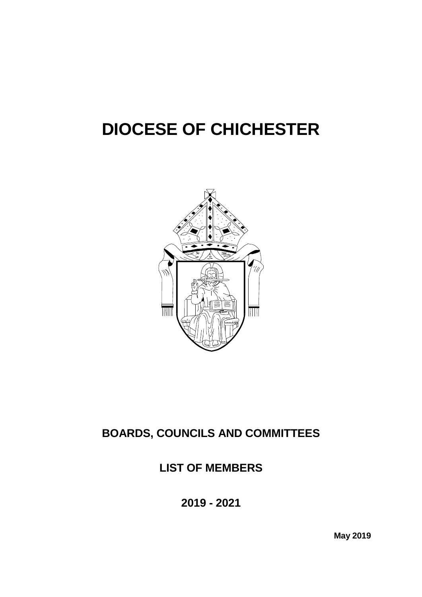# **DIOCESE OF CHICHESTER**



# **BOARDS, COUNCILS AND COMMITTEES**

## **LIST OF MEMBERS**

**2019 - 2021**

**May 2019**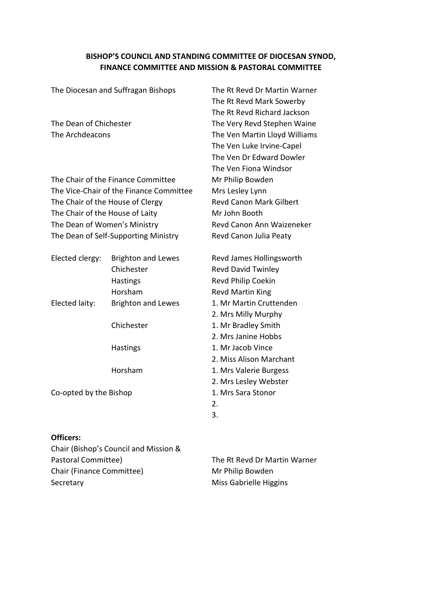#### **BISHOP'S COUNCIL AND STANDING COMMITTEE OF DIOCESAN SYNOD, FINANCE COMMITTEE AND MISSION & PASTORAL COMMITTEE**

| The Diocesan and Suffragan Bishops   |                                         | The Rt Revd Dr Martin Warner   |
|--------------------------------------|-----------------------------------------|--------------------------------|
|                                      |                                         | The Rt Revd Mark Sowerby       |
|                                      |                                         | The Rt Revd Richard Jackson    |
| The Dean of Chichester               |                                         | The Very Revd Stephen Waine    |
| The Archdeacons                      |                                         | The Ven Martin Lloyd Williams  |
|                                      |                                         | The Ven Luke Irvine-Capel      |
|                                      |                                         | The Ven Dr Edward Dowler       |
|                                      |                                         | The Ven Fiona Windsor          |
|                                      | The Chair of the Finance Committee      | Mr Philip Bowden               |
|                                      | The Vice-Chair of the Finance Committee | Mrs Lesley Lynn                |
|                                      | The Chair of the House of Clergy        | <b>Revd Canon Mark Gilbert</b> |
| The Chair of the House of Laity      |                                         | Mr John Booth                  |
| The Dean of Women's Ministry         |                                         | Revd Canon Ann Waizeneker      |
| The Dean of Self-Supporting Ministry |                                         | Revd Canon Julia Peaty         |
| Elected clergy:                      | <b>Brighton and Lewes</b>               | Revd James Hollingsworth       |
|                                      | Chichester                              | <b>Revd David Twinley</b>      |
|                                      | Hastings                                | Revd Philip Coekin             |
|                                      | Horsham                                 | <b>Revd Martin King</b>        |
| Elected laity:                       | <b>Brighton and Lewes</b>               | 1. Mr Martin Cruttenden        |
|                                      |                                         | 2. Mrs Milly Murphy            |
|                                      | Chichester                              | 1. Mr Bradley Smith            |
|                                      |                                         | 2. Mrs Janine Hobbs            |
|                                      | Hastings                                | 1. Mr Jacob Vince              |
|                                      |                                         | 2. Miss Alison Marchant        |
|                                      | Horsham                                 | 1. Mrs Valerie Burgess         |

Co-opted by the Bishop 1. Mrs Sara Stonor

2. Mrs Lesley Webster

2. 3.

#### **Officers:**

Chair (Bishop's Council and Mission & Pastoral Committee) The Rt Revd Dr Martin Warner Chair (Finance Committee) Mr Philip Bowden Secretary **Miss Gabrielle Higgins**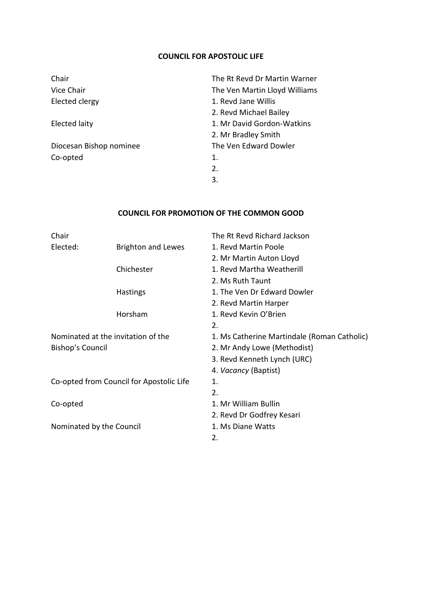#### **COUNCIL FOR APOSTOLIC LIFE**

| Chair                   | The Rt Revd Dr Martin Warner  |
|-------------------------|-------------------------------|
| Vice Chair              | The Ven Martin Lloyd Williams |
| Elected clergy          | 1. Revd Jane Willis           |
|                         | 2. Revd Michael Bailey        |
| Elected laity           | 1. Mr David Gordon-Watkins    |
|                         | 2. Mr Bradley Smith           |
| Diocesan Bishop nominee | The Ven Edward Dowler         |
| Co-opted                | 1.                            |
|                         | 2.                            |
|                         | 3.                            |

#### **COUNCIL FOR PROMOTION OF THE COMMON GOOD**

| Chair                                    |                                    | The Rt Revd Richard Jackson                 |
|------------------------------------------|------------------------------------|---------------------------------------------|
| Elected:                                 | <b>Brighton and Lewes</b>          | 1. Revd Martin Poole                        |
|                                          |                                    | 2. Mr Martin Auton Lloyd                    |
|                                          | Chichester                         | 1. Revd Martha Weatherill                   |
|                                          |                                    | 2. Ms Ruth Taunt                            |
|                                          | Hastings                           | 1. The Ven Dr Edward Dowler                 |
|                                          |                                    | 2. Revd Martin Harper                       |
|                                          | Horsham                            | 1. Revd Kevin O'Brien                       |
|                                          |                                    | 2.                                          |
|                                          | Nominated at the invitation of the | 1. Ms Catherine Martindale (Roman Catholic) |
| Bishop's Council                         |                                    | 2. Mr Andy Lowe (Methodist)                 |
|                                          |                                    | 3. Revd Kenneth Lynch (URC)                 |
|                                          |                                    | 4. Vacancy (Baptist)                        |
| Co-opted from Council for Apostolic Life |                                    | 1.                                          |
|                                          |                                    | 2.                                          |
| Co-opted                                 |                                    | 1. Mr William Bullin                        |
|                                          |                                    | 2. Revd Dr Godfrey Kesari                   |
| Nominated by the Council                 |                                    | 1. Ms Diane Watts                           |
|                                          |                                    | 2.                                          |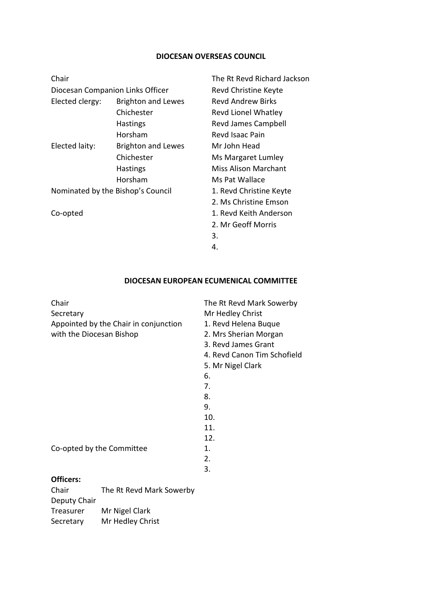### **DIOCESAN OVERSEAS COUNCIL**

| Chair                             |                           | The Rt Revd Richard Jackson |
|-----------------------------------|---------------------------|-----------------------------|
| Diocesan Companion Links Officer  |                           | Revd Christine Keyte        |
| Elected clergy:                   | <b>Brighton and Lewes</b> | <b>Revd Andrew Birks</b>    |
|                                   | Chichester                | <b>Revd Lionel Whatley</b>  |
|                                   | <b>Hastings</b>           | Revd James Campbell         |
|                                   | Horsham                   | Revd Isaac Pain             |
| Elected laity:                    | <b>Brighton and Lewes</b> | Mr John Head                |
|                                   | Chichester                | Ms Margaret Lumley          |
|                                   | <b>Hastings</b>           | Miss Alison Marchant        |
|                                   | Horsham                   | Ms Pat Wallace              |
| Nominated by the Bishop's Council |                           | 1. Revd Christine Keyte     |
|                                   |                           | 2. Ms Christine Emson       |
| Co-opted                          |                           | 1. Revd Keith Anderson      |
|                                   |                           | 2. Mr Geoff Morris          |
|                                   |                           | 3.                          |

#### 4.

#### **DIOCESAN EUROPEAN ECUMENICAL COMMITTEE**

| Chair<br>Secretary        |                                       | The Rt Revd Mark Sowerby<br>Mr Hedley Christ |
|---------------------------|---------------------------------------|----------------------------------------------|
|                           | Appointed by the Chair in conjunction | 1. Revd Helena Buque                         |
| with the Diocesan Bishop  |                                       | 2. Mrs Sherian Morgan                        |
|                           |                                       | 3. Revd James Grant                          |
|                           |                                       | 4. Revd Canon Tim Schofield                  |
|                           |                                       |                                              |
|                           |                                       | 5. Mr Nigel Clark                            |
|                           |                                       | 6.                                           |
|                           |                                       | 7.                                           |
|                           |                                       | 8.                                           |
|                           |                                       | 9.                                           |
|                           |                                       | 10.                                          |
|                           |                                       | 11.                                          |
|                           |                                       | 12.                                          |
| Co-opted by the Committee |                                       | 1.                                           |
|                           |                                       | 2.                                           |
|                           |                                       | 3.                                           |
| Officers:                 |                                       |                                              |
| Chair                     | The Rt Revd Mark Sowerby              |                                              |
| Deputy Chair              |                                       |                                              |
| Treasurer                 | Mr Nigel Clark                        |                                              |

Secretary Mr Hedley Christ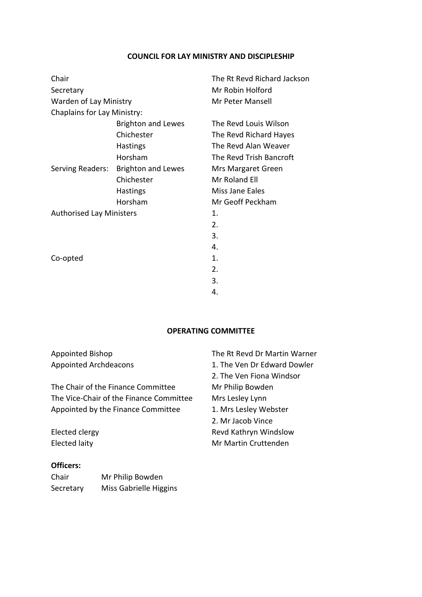#### **COUNCIL FOR LAY MINISTRY AND DISCIPLESHIP**

| Chair                              |                           | The Rt Revd Richard Jackson |
|------------------------------------|---------------------------|-----------------------------|
| Secretary                          |                           | Mr Robin Holford            |
| Warden of Lay Ministry             |                           | Mr Peter Mansell            |
| <b>Chaplains for Lay Ministry:</b> |                           |                             |
|                                    | <b>Brighton and Lewes</b> | The Revd Louis Wilson       |
|                                    | Chichester                | The Revd Richard Hayes      |
|                                    | Hastings                  | The Revd Alan Weaver        |
|                                    | Horsham                   | The Revd Trish Bancroft     |
| Serving Readers:                   | <b>Brighton and Lewes</b> | Mrs Margaret Green          |
|                                    | Chichester                | Mr Roland Ell               |
|                                    | <b>Hastings</b>           | Miss Jane Eales             |
|                                    | Horsham                   | Mr Geoff Peckham            |
| <b>Authorised Lay Ministers</b>    |                           | 1.                          |
|                                    |                           | 2.                          |
|                                    |                           | 3.                          |
|                                    |                           | 4.                          |
| Co-opted                           |                           | 1.                          |
|                                    |                           | 2.                          |
|                                    |                           | 3.                          |
|                                    |                           | 4.                          |

#### **OPERATING COMMITTEE**

| <b>Appointed Bishop</b>                 |                                    | The Rt Revd Dr Martin Warner |
|-----------------------------------------|------------------------------------|------------------------------|
| <b>Appointed Archdeacons</b>            |                                    | 1. The Ven Dr Edward Dowler  |
|                                         |                                    | 2. The Ven Fiona Windsor     |
|                                         | The Chair of the Finance Committee | Mr Philip Bowden             |
| The Vice-Chair of the Finance Committee |                                    | Mrs Lesley Lynn              |
| Appointed by the Finance Committee      |                                    | 1. Mrs Lesley Webster        |
|                                         |                                    | 2. Mr Jacob Vince            |
| Elected clergy                          |                                    | Revd Kathryn Windslow        |
| <b>Elected laity</b>                    |                                    | Mr Martin Cruttenden         |
| <b>Officers:</b>                        |                                    |                              |
| Chair                                   | Mr Philip Bowden                   |                              |

Secretary Miss Gabrielle Higgins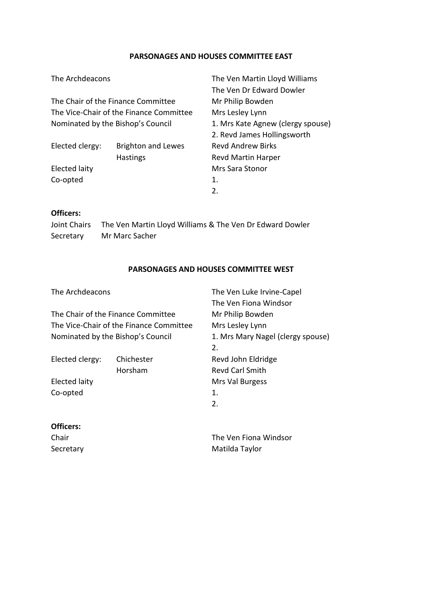#### **PARSONAGES AND HOUSES COMMITTEE EAST**

| The Archdeacons                         |                           | The Ven Martin Lloyd Williams     |
|-----------------------------------------|---------------------------|-----------------------------------|
|                                         |                           | The Ven Dr Edward Dowler          |
| The Chair of the Finance Committee      |                           | Mr Philip Bowden                  |
| The Vice-Chair of the Finance Committee |                           | Mrs Lesley Lynn                   |
| Nominated by the Bishop's Council       |                           | 1. Mrs Kate Agnew (clergy spouse) |
|                                         |                           | 2. Revd James Hollingsworth       |
| Elected clergy:                         | <b>Brighton and Lewes</b> | <b>Revd Andrew Birks</b>          |
|                                         | <b>Hastings</b>           | Revd Martin Harper                |
| <b>Elected laity</b>                    |                           | <b>Mrs Sara Stonor</b>            |
| Co-opted                                |                           | 1.                                |
|                                         |                           | 2.                                |
|                                         |                           |                                   |

#### **Officers:**

Joint Chairs The Ven Martin Lloyd Williams & The Ven Dr Edward Dowler Secretary Mr Marc Sacher

#### **PARSONAGES AND HOUSES COMMITTEE WEST**

| The Archdeacons                                                               |            | The Ven Luke Irvine-Capel         |
|-------------------------------------------------------------------------------|------------|-----------------------------------|
|                                                                               |            | The Ven Fiona Windsor             |
| The Chair of the Finance Committee<br>The Vice-Chair of the Finance Committee |            | Mr Philip Bowden                  |
|                                                                               |            | Mrs Lesley Lynn                   |
| Nominated by the Bishop's Council                                             |            | 1. Mrs Mary Nagel (clergy spouse) |
|                                                                               |            | 2.                                |
| Elected clergy:                                                               | Chichester | Revd John Eldridge                |
|                                                                               | Horsham    | <b>Revd Carl Smith</b>            |
| Elected laity                                                                 |            | Mrs Val Burgess                   |
| Co-opted                                                                      |            | 1.                                |
|                                                                               |            | 2.                                |
| Officers:                                                                     |            |                                   |
| Chair                                                                         |            | The Ven Fiona Windsor             |

Secretary **Matilda Taylor** Matilda Taylor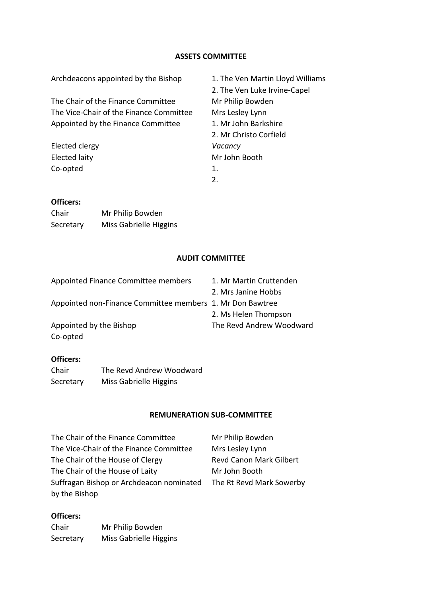#### **ASSETS COMMITTEE**

| Archdeacons appointed by the Bishop     | 1. The Ven Martin Lloyd Williams |
|-----------------------------------------|----------------------------------|
|                                         | 2. The Ven Luke Irvine-Capel     |
| The Chair of the Finance Committee      | Mr Philip Bowden                 |
| The Vice-Chair of the Finance Committee | Mrs Lesley Lynn                  |
| Appointed by the Finance Committee      | 1. Mr John Barkshire             |
|                                         | 2. Mr Christo Corfield           |
| Elected clergy                          | Vacancy                          |
| Elected laity                           | Mr John Booth                    |
| Co-opted                                | 1.                               |
|                                         | 2.                               |
|                                         |                                  |
|                                         |                                  |

#### **Officers:**

| Chair     | Mr Philip Bowden       |
|-----------|------------------------|
| Secretary | Miss Gabrielle Higgins |

#### **AUDIT COMMITTEE**

| Appointed Finance Committee members                       | 1. Mr Martin Cruttenden  |
|-----------------------------------------------------------|--------------------------|
|                                                           | 2. Mrs Janine Hobbs      |
| Appointed non-Finance Committee members 1. Mr Don Bawtree |                          |
|                                                           | 2. Ms Helen Thompson     |
| Appointed by the Bishop                                   | The Revd Andrew Woodward |
| Co-opted                                                  |                          |

#### **Officers:**

| Chair     | The Revd Andrew Woodward |
|-----------|--------------------------|
| Secretary | Miss Gabrielle Higgins   |

#### **REMUNERATION SUB-COMMITTEE**

The Chair of the Finance Committee Mr Philip Bowden The Vice-Chair of the Finance Committee Mrs Lesley Lynn The Chair of the House of Clergy Revd Canon Mark Gilbert The Chair of the House of Laity Mr John Booth Suffragan Bishop or Archdeacon nominated The Rt Revd Mark Sowerby by the Bishop

#### **Officers:**

Chair Mr Philip Bowden Secretary Miss Gabrielle Higgins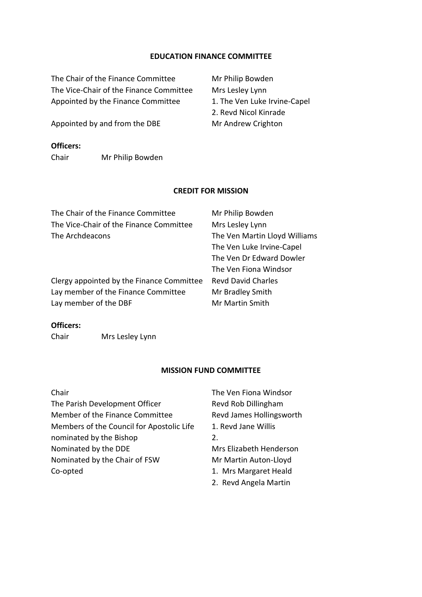#### **EDUCATION FINANCE COMMITTEE**

The Chair of the Finance Committee Mr Philip Bowden The Vice-Chair of the Finance Committee Mrs Lesley Lynn Appointed by the Finance Committee 1. The Ven Luke Irvine-Capel

Appointed by and from the DBE Mr Andrew Crighton

#### **Officers:**

Chair Mr Philip Bowden

#### **CREDIT FOR MISSION**

| The Chair of the Finance Committee        | Mr Philip Bowden              |
|-------------------------------------------|-------------------------------|
| The Vice-Chair of the Finance Committee   | Mrs Lesley Lynn               |
| The Archdeacons                           | The Ven Martin Lloyd Williams |
|                                           | The Ven Luke Irvine-Capel     |
|                                           | The Ven Dr Edward Dowler      |
|                                           | The Ven Fiona Windsor         |
| Clergy appointed by the Finance Committee | <b>Revd David Charles</b>     |
| Lay member of the Finance Committee       | Mr Bradley Smith              |
| Lay member of the DBF                     | Mr Martin Smith               |
|                                           |                               |

#### **Officers:**

Chair Mrs Lesley Lynn

#### **MISSION FUND COMMITTEE**

The Parish Development Officer Revd Rob Dillingham Member of the Finance Committee Revd James Hollingsworth Members of the Council for Apostolic Life 1. Revd Jane Willis nominated by the Bishop 2. Nominated by the DDE Mrs Elizabeth Henderson Nominated by the Chair of FSW Mr Martin Auton-Lloyd Co-opted 1. Mrs Margaret Heald

Chair The Ven Fiona Windsor

- 
- 2. Revd Angela Martin

2. Revd Nicol Kinrade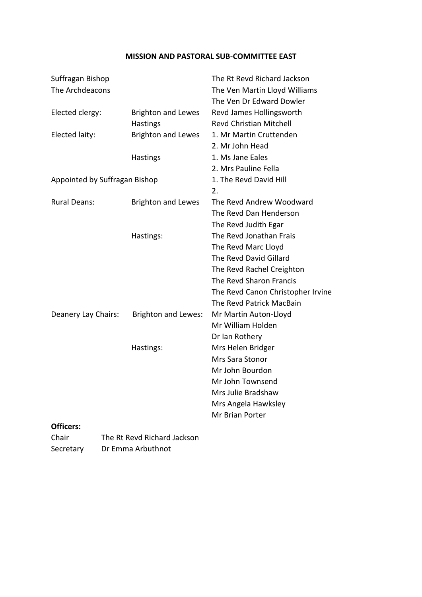#### **MISSION AND PASTORAL SUB-COMMITTEE EAST**

| Suffragan Bishop              |                            | The Rt Revd Richard Jackson       |
|-------------------------------|----------------------------|-----------------------------------|
| The Archdeacons               |                            | The Ven Martin Lloyd Williams     |
|                               |                            | The Ven Dr Edward Dowler          |
| Elected clergy:               | <b>Brighton and Lewes</b>  | Revd James Hollingsworth          |
|                               | Hastings                   | <b>Revd Christian Mitchell</b>    |
| Elected laity:                | <b>Brighton and Lewes</b>  | 1. Mr Martin Cruttenden           |
|                               |                            | 2. Mr John Head                   |
|                               | Hastings                   | 1. Ms Jane Eales                  |
|                               |                            | 2. Mrs Pauline Fella              |
| Appointed by Suffragan Bishop |                            | 1. The Revd David Hill            |
|                               |                            | 2.                                |
| <b>Rural Deans:</b>           | <b>Brighton and Lewes</b>  | The Revd Andrew Woodward          |
|                               |                            | The Revd Dan Henderson            |
|                               |                            | The Revd Judith Egar              |
|                               | Hastings:                  | The Revd Jonathan Frais           |
|                               |                            | The Revd Marc Lloyd               |
|                               |                            | The Revd David Gillard            |
|                               |                            | The Revd Rachel Creighton         |
|                               |                            | The Revd Sharon Francis           |
|                               |                            | The Revd Canon Christopher Irvine |
|                               |                            | The Revd Patrick MacBain          |
| Deanery Lay Chairs:           | <b>Brighton and Lewes:</b> | Mr Martin Auton-Lloyd             |
|                               |                            | Mr William Holden                 |
|                               |                            | Dr Ian Rothery                    |
|                               | Hastings:                  | Mrs Helen Bridger                 |
|                               |                            | Mrs Sara Stonor                   |
|                               |                            | Mr John Bourdon                   |
|                               |                            | Mr John Townsend                  |
|                               |                            | Mrs Julie Bradshaw                |
|                               |                            | Mrs Angela Hawksley               |
|                               |                            | Mr Brian Porter                   |
| Officers:                     |                            |                                   |

Chair The Rt Revd Richard Jackson Secretary Dr Emma Arbuthnot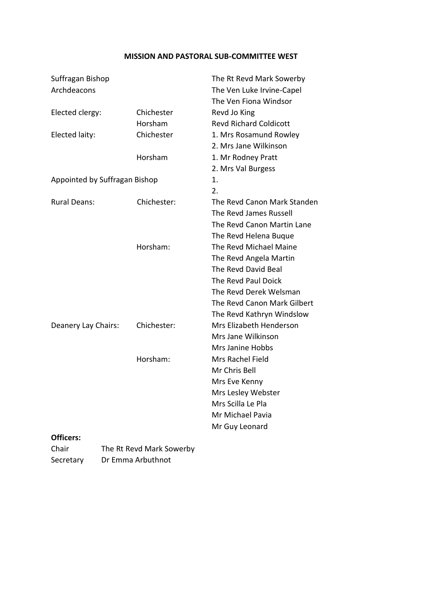#### **MISSION AND PASTORAL SUB-COMMITTEE WEST**

| Suffragan Bishop              |             | The Rt Revd Mark Sowerby      |
|-------------------------------|-------------|-------------------------------|
| Archdeacons                   |             | The Ven Luke Irvine-Capel     |
|                               |             | The Ven Fiona Windsor         |
| Elected clergy:               | Chichester  | Revd Jo King                  |
|                               | Horsham     | <b>Revd Richard Coldicott</b> |
| Elected laity:                | Chichester  | 1. Mrs Rosamund Rowley        |
|                               |             | 2. Mrs Jane Wilkinson         |
|                               | Horsham     | 1. Mr Rodney Pratt            |
|                               |             | 2. Mrs Val Burgess            |
| Appointed by Suffragan Bishop |             | 1.                            |
|                               |             | 2.                            |
| <b>Rural Deans:</b>           | Chichester: | The Revd Canon Mark Standen   |
|                               |             | The Revd James Russell        |
|                               |             | The Revd Canon Martin Lane    |
|                               |             | The Revd Helena Buque         |
|                               | Horsham:    | The Revd Michael Maine        |
|                               |             | The Revd Angela Martin        |
|                               |             | The Revd David Beal           |
|                               |             | The Revd Paul Doick           |
|                               |             | The Revd Derek Welsman        |
|                               |             | The Revd Canon Mark Gilbert   |
|                               |             | The Revd Kathryn Windslow     |
| Deanery Lay Chairs:           | Chichester: | Mrs Elizabeth Henderson       |
|                               |             | Mrs Jane Wilkinson            |
|                               |             | Mrs Janine Hobbs              |
|                               | Horsham:    | Mrs Rachel Field              |
|                               |             | Mr Chris Bell                 |
|                               |             | Mrs Eve Kenny                 |
|                               |             | Mrs Lesley Webster            |
|                               |             | Mrs Scilla Le Pla             |
|                               |             | Mr Michael Pavia              |
|                               |             | Mr Guy Leonard                |
| Officers:                     |             |                               |

Chair The Rt Revd Mark Sowerby Secretary Dr Emma Arbuthnot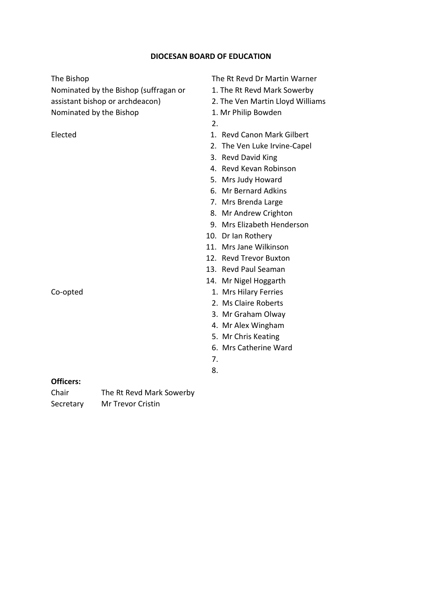#### **DIOCESAN BOARD OF EDUCATION**

Nominated by the Bishop (suffragan or 1. The Rt Revd Mark Sowerby assistant bishop or archdeacon) 2. The Ven Martin Lloyd Williams Nominated by the Bishop 1. Mr Philip Bowden

#### The Bishop The Rt Revd Dr Martin Warner

- 
- 
- 
- 2.
- Elected **1. Revd Canon Mark Gilbert** 
	- 2. The Ven Luke Irvine-Capel
	- 3. Revd David King
	- 4. Revd Kevan Robinson
	- 5. Mrs Judy Howard
	- 6. Mr Bernard Adkins
	- 7. Mrs Brenda Large
	- 8. Mr Andrew Crighton
	- 9. Mrs Elizabeth Henderson
	- 10. Dr Ian Rothery
	- 11. Mrs Jane Wilkinson
	- 12. Revd Trevor Buxton
	- 13. Revd Paul Seaman
	- 14. Mr Nigel Hoggarth
- Co-opted 1. Mrs Hilary Ferries
	- 2. Ms Claire Roberts
	- 3. Mr Graham Olway
	- 4. Mr Alex Wingham
	- 5. Mr Chris Keating
	- 6. Mrs Catherine Ward
	- 7.
	- 8.

#### **Officers:**

Chair The Rt Revd Mark Sowerby Secretary Mr Trevor Cristin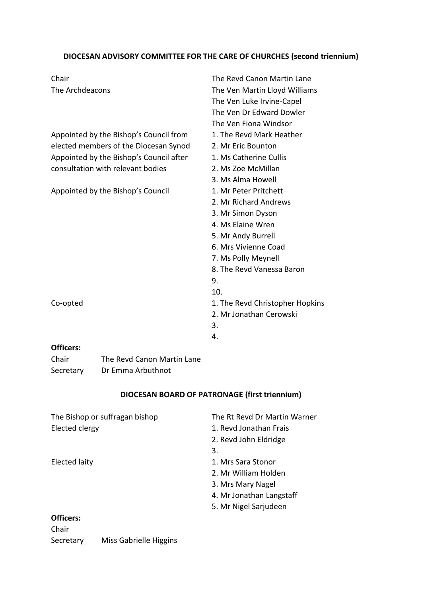### **DIOCESAN ADVISORY COMMITTEE FOR THE CARE OF CHURCHES (second triennium)**

| Chair                                   | The Revd Canon Martin Lane      |
|-----------------------------------------|---------------------------------|
| The Archdeacons                         | The Ven Martin Lloyd Williams   |
|                                         | The Ven Luke Irvine-Capel       |
|                                         | The Ven Dr Edward Dowler        |
|                                         | The Ven Fiona Windsor           |
| Appointed by the Bishop's Council from  | 1. The Revd Mark Heather        |
| elected members of the Diocesan Synod   | 2. Mr Eric Bounton              |
| Appointed by the Bishop's Council after | 1. Ms Catherine Cullis          |
| consultation with relevant bodies       | 2. Ms Zoe McMillan              |
|                                         | 3. Ms Alma Howell               |
| Appointed by the Bishop's Council       | 1. Mr Peter Pritchett           |
|                                         | 2. Mr Richard Andrews           |
|                                         | 3. Mr Simon Dyson               |
|                                         | 4. Ms Elaine Wren               |
|                                         | 5. Mr Andy Burrell              |
|                                         | 6. Mrs Vivienne Coad            |
|                                         | 7. Ms Polly Meynell             |
|                                         | 8. The Revd Vanessa Baron       |
|                                         | 9.                              |
|                                         | 10.                             |
| Co-opted                                | 1. The Revd Christopher Hopkins |
|                                         | 2. Mr Jonathan Cerowski         |
|                                         | 3.                              |
|                                         | 4.                              |
| Officers:                               |                                 |

Chair **The Revd Canon Martin Lane** Secretary Dr Emma Arbuthnot

#### **DIOCESAN BOARD OF PATRONAGE (first triennium)**

| The Bishop or suffragan bishop | The Rt Revd Dr Martin Warner |
|--------------------------------|------------------------------|
| Elected clergy                 | 1. Revd Jonathan Frais       |
|                                |                              |
|                                | 2. Revd John Eldridge        |
|                                | 3.                           |
| Elected laity                  | 1. Mrs Sara Stonor           |
|                                | 2. Mr William Holden         |
|                                | 3. Mrs Mary Nagel            |
|                                | 4. Mr Jonathan Langstaff     |
|                                | 5. Mr Nigel Sarjudeen        |
| Officers:                      |                              |
| Chair                          |                              |

Secretary Miss Gabrielle Higgins